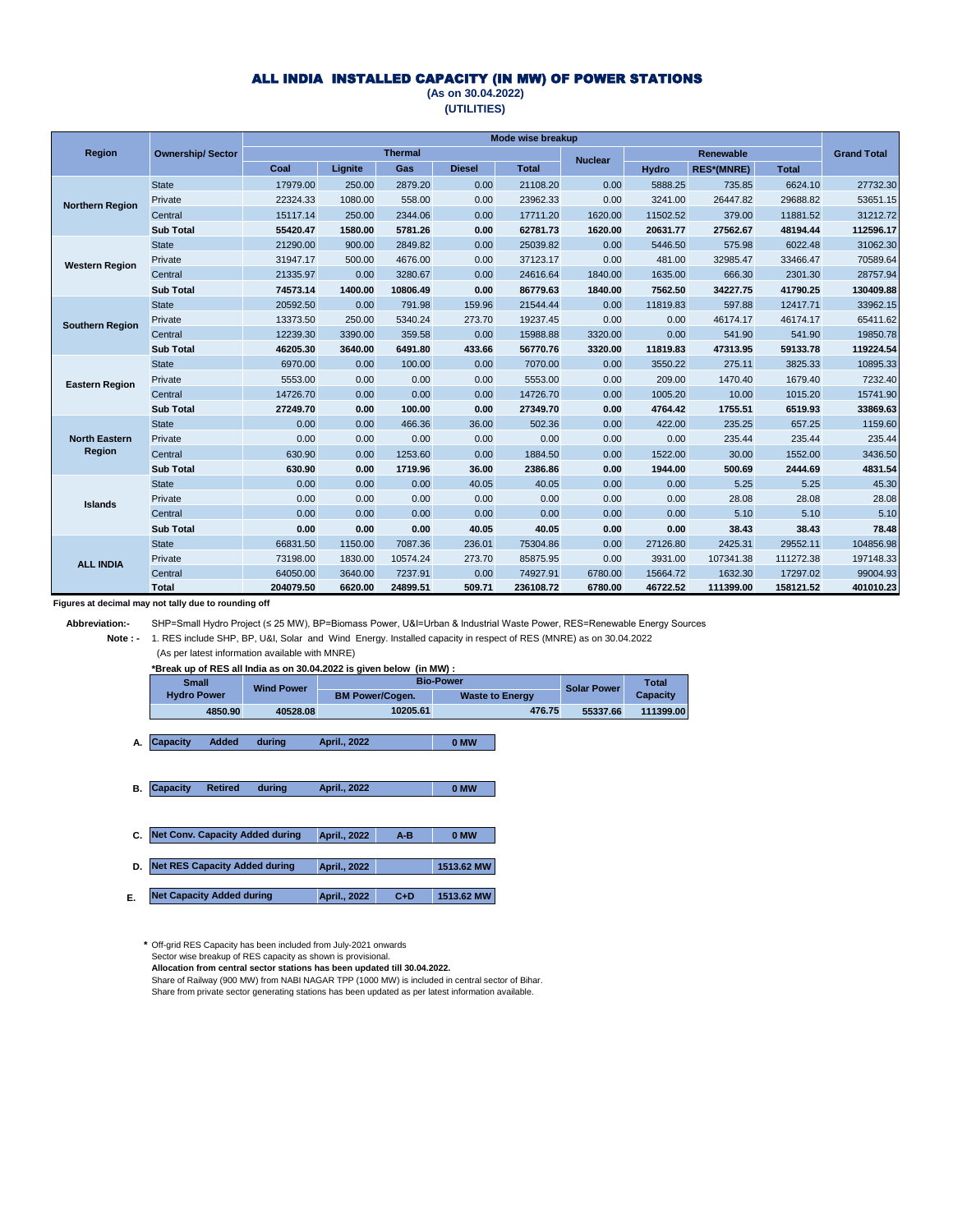### ALL INDIA INSTALLED CAPACITY (IN MW) OF POWER STATIONS

#### **(As on 30.04.2022) (UTILITIES)**

|                        |                         |           |         |                |               | Mode wise breakup |                |              |                   |              |                    |
|------------------------|-------------------------|-----------|---------|----------------|---------------|-------------------|----------------|--------------|-------------------|--------------|--------------------|
| Region                 | <b>Ownership/Sector</b> |           |         | <b>Thermal</b> |               |                   | <b>Nuclear</b> |              | <b>Renewable</b>  |              | <b>Grand Total</b> |
|                        |                         | Coal      | Lignite | Gas            | <b>Diesel</b> | <b>Total</b>      |                | <b>Hydro</b> | <b>RES*(MNRE)</b> | <b>Total</b> |                    |
|                        | <b>State</b>            | 17979.00  | 250.00  | 2879.20        | 0.00          | 21108.20          | 0.00           | 5888.25      | 735.85            | 6624.10      | 27732.30           |
| <b>Northern Region</b> | Private                 | 22324.33  | 1080.00 | 558.00         | 0.00          | 23962.33          | 0.00           | 3241.00      | 26447.82          | 29688.82     | 53651.15           |
|                        | Central                 | 15117.14  | 250.00  | 2344.06        | 0.00          | 17711.20          | 1620.00        | 11502.52     | 379.00            | 11881.52     | 31212.72           |
|                        | <b>Sub Total</b>        | 55420.47  | 1580.00 | 5781.26        | 0.00          | 62781.73          | 1620.00        | 20631.77     | 27562.67          | 48194.44     | 112596.17          |
|                        | <b>State</b>            | 21290.00  | 900.00  | 2849.82        | 0.00          | 25039.82          | 0.00           | 5446.50      | 575.98            | 6022.48      | 31062.30           |
| <b>Western Region</b>  | Private                 | 31947.17  | 500.00  | 4676.00        | 0.00          | 37123.17          | 0.00           | 481.00       | 32985.47          | 33466.47     | 70589.64           |
|                        | Central                 | 21335.97  | 0.00    | 3280.67        | 0.00          | 24616.64          | 1840.00        | 1635.00      | 666.30            | 2301.30      | 28757.94           |
|                        | <b>Sub Total</b>        | 74573.14  | 1400.00 | 10806.49       | 0.00          | 86779.63          | 1840.00        | 7562.50      | 34227.75          | 41790.25     | 130409.88          |
|                        | <b>State</b>            | 20592.50  | 0.00    | 791.98         | 159.96        | 21544.44          | 0.00           | 11819.83     | 597.88            | 12417.71     | 33962.15           |
| <b>Southern Region</b> | Private                 | 13373.50  | 250.00  | 5340.24        | 273.70        | 19237.45          | 0.00           | 0.00         | 46174.17          | 46174.17     | 65411.62           |
|                        | Central                 | 12239.30  | 3390.00 | 359.58         | 0.00          | 15988.88          | 3320.00        | 0.00         | 541.90            | 541.90       | 19850.78           |
|                        | <b>Sub Total</b>        | 46205.30  | 3640.00 | 6491.80        | 433.66        | 56770.76          | 3320.00        | 11819.83     | 47313.95          | 59133.78     | 119224.54          |
|                        | <b>State</b>            | 6970.00   | 0.00    | 100.00         | 0.00          | 7070.00           | 0.00           | 3550.22      | 275.11            | 3825.33      | 10895.33           |
| <b>Eastern Region</b>  | Private                 | 5553.00   | 0.00    | 0.00           | 0.00          | 5553.00           | 0.00           | 209.00       | 1470.40           | 1679.40      | 7232.40            |
|                        | Central                 | 14726.70  | 0.00    | 0.00           | 0.00          | 14726.70          | 0.00           | 1005.20      | 10.00             | 1015.20      | 15741.90           |
|                        | <b>Sub Total</b>        | 27249.70  | 0.00    | 100.00         | 0.00          | 27349.70          | 0.00           | 4764.42      | 1755.51           | 6519.93      | 33869.63           |
|                        | <b>State</b>            | 0.00      | 0.00    | 466.36         | 36.00         | 502.36            | 0.00           | 422.00       | 235.25            | 657.25       | 1159.60            |
| <b>North Eastern</b>   | Private                 | 0.00      | 0.00    | 0.00           | 0.00          | 0.00              | 0.00           | 0.00         | 235.44            | 235.44       | 235.44             |
| Region                 | Central                 | 630.90    | 0.00    | 1253.60        | 0.00          | 1884.50           | 0.00           | 1522.00      | 30.00             | 1552.00      | 3436.50            |
|                        | <b>Sub Total</b>        | 630.90    | 0.00    | 1719.96        | 36.00         | 2386.86           | 0.00           | 1944.00      | 500.69            | 2444.69      | 4831.54            |
|                        | <b>State</b>            | 0.00      | 0.00    | 0.00           | 40.05         | 40.05             | 0.00           | 0.00         | 5.25              | 5.25         | 45.30              |
| <b>Islands</b>         | Private                 | 0.00      | 0.00    | 0.00           | 0.00          | 0.00              | 0.00           | 0.00         | 28.08             | 28.08        | 28.08              |
|                        | Central                 | 0.00      | 0.00    | 0.00           | 0.00          | 0.00              | 0.00           | 0.00         | 5.10              | 5.10         | 5.10               |
|                        | <b>Sub Total</b>        | 0.00      | 0.00    | 0.00           | 40.05         | 40.05             | 0.00           | 0.00         | 38.43             | 38.43        | 78.48              |
|                        | <b>State</b>            | 66831.50  | 1150.00 | 7087.36        | 236.01        | 75304.86          | 0.00           | 27126.80     | 2425.31           | 29552.11     | 104856.98          |
| <b>ALL INDIA</b>       | Private                 | 73198.00  | 1830.00 | 10574.24       | 273.70        | 85875.95          | 0.00           | 3931.00      | 107341.38         | 111272.38    | 197148.33          |
|                        | Central                 | 64050.00  | 3640.00 | 7237.91        | 0.00          | 74927.91          | 6780.00        | 15664.72     | 1632.30           | 17297.02     | 99004.93           |
|                        | <b>Total</b>            | 204079.50 | 6620.00 | 24899.51       | 509.71        | 236108.72         | 6780.00        | 46722.52     | 111399.00         | 158121.52    | 401010.23          |

**Figures at decimal may not tally due to rounding off** 

 **Abbreviation:-** SHP=Small Hydro Project (≤ 25 MW), BP=Biomass Power, U&I=Urban & Industrial Waste Power, RES=Renewable Energy Sources

 **Note : -**  1. RES include SHP, BP, U&I, Solar and Wind Energy. Installed capacity in respect of RES (MNRE) as on 30.04.2022 (As per latest information available with MNRE)

**\*Break up of RES all India as on 30.04.2022 is given below (in MW) :**

| <b>Small</b>       | <b>Wind Power</b> |                        | <b>Bio-Power</b>       |                    |                 |  |  |  |  |
|--------------------|-------------------|------------------------|------------------------|--------------------|-----------------|--|--|--|--|
| <b>Hydro Power</b> |                   | <b>BM Power/Cogen.</b> | <b>Waste to Energy</b> | <b>Solar Power</b> | <b>Capacity</b> |  |  |  |  |
| 4850.90            | 40528.08          | 10205.61               | 476.75                 | 55337.66           | 111399.00       |  |  |  |  |

A. Capacity Added during April., 2022 **CAU CAUGA CAUGA A Capacity Added during April., 2022**

 **B. 0 MW Capacity Retired during April., 2022**

| C. Net Conv. Capacity Added during | April., 2022 | $A-B$ | 0 MW       |
|------------------------------------|--------------|-------|------------|
| D. Net RES Capacity Added during   | April., 2022 |       | 1513.62 MW |

**E. April., 2022 C+D 1513.62 MW Net Capacity Added during** 

**\*** Off-grid RES Capacity has been included from July-2021 onwards Sector wise breakup of RES capacity as shown is provisional. **Allocation from central sector stations has been updated till 30.04.2022.** Share of Railway (900 MW) from NABI NAGAR TPP (1000 MW) is included in central sector of Bihar. Share from private sector generating stations has been updated as per latest information available.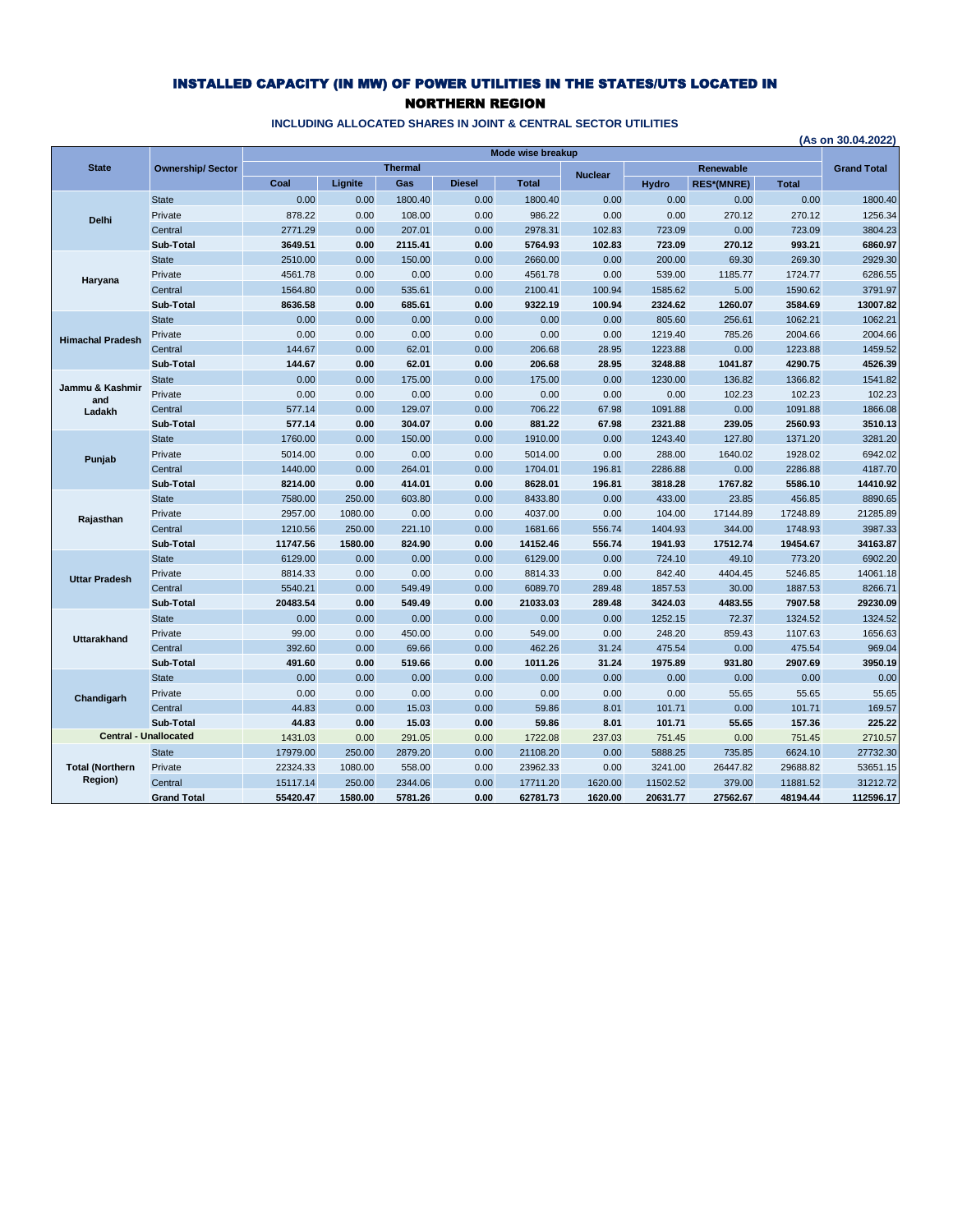## INSTALLED CAPACITY (IN MW) OF POWER UTILITIES IN THE STATES/UTS LOCATED IN NORTHERN REGION

|                         |                              |          |         |                |               |                   |                |              |                   |              | (As on 30.04.2022) |
|-------------------------|------------------------------|----------|---------|----------------|---------------|-------------------|----------------|--------------|-------------------|--------------|--------------------|
|                         |                              |          |         |                |               | Mode wise breakup |                |              |                   |              |                    |
| <b>State</b>            | <b>Ownership/Sector</b>      |          |         | <b>Thermal</b> |               |                   | <b>Nuclear</b> |              | Renewable         |              | <b>Grand Total</b> |
|                         |                              | Coal     | Lignite | Gas            | <b>Diesel</b> | <b>Total</b>      |                | <b>Hydro</b> | <b>RES*(MNRE)</b> | <b>Total</b> |                    |
|                         | <b>State</b>                 | 0.00     | 0.00    | 1800.40        | 0.00          | 1800.40           | 0.00           | 0.00         | 0.00              | 0.00         | 1800.40            |
| <b>Delhi</b>            | Private                      | 878.22   | 0.00    | 108.00         | 0.00          | 986.22            | 0.00           | 0.00         | 270.12            | 270.12       | 1256.34            |
|                         | Central                      | 2771.29  | 0.00    | 207.01         | 0.00          | 2978.31           | 102.83         | 723.09       | 0.00              | 723.09       | 3804.23            |
|                         | Sub-Total                    | 3649.51  | 0.00    | 2115.41        | 0.00          | 5764.93           | 102.83         | 723.09       | 270.12            | 993.21       | 6860.97            |
|                         | <b>State</b>                 | 2510.00  | 0.00    | 150.00         | 0.00          | 2660.00           | 0.00           | 200.00       | 69.30             | 269.30       | 2929.30            |
| Haryana                 | Private                      | 4561.78  | 0.00    | 0.00           | 0.00          | 4561.78           | 0.00           | 539.00       | 1185.77           | 1724.77      | 6286.55            |
|                         | Central                      | 1564.80  | 0.00    | 535.61         | 0.00          | 2100.41           | 100.94         | 1585.62      | 5.00              | 1590.62      | 3791.97            |
|                         | Sub-Total                    | 8636.58  | 0.00    | 685.61         | 0.00          | 9322.19           | 100.94         | 2324.62      | 1260.07           | 3584.69      | 13007.82           |
|                         | <b>State</b>                 | 0.00     | 0.00    | 0.00           | 0.00          | 0.00              | 0.00           | 805.60       | 256.61            | 1062.21      | 1062.21            |
| <b>Himachal Pradesh</b> | Private                      | 0.00     | 0.00    | 0.00           | 0.00          | 0.00              | 0.00           | 1219.40      | 785.26            | 2004.66      | 2004.66            |
|                         | Central                      | 144.67   | 0.00    | 62.01          | 0.00          | 206.68            | 28.95          | 1223.88      | 0.00              | 1223.88      | 1459.52            |
|                         | Sub-Total                    | 144.67   | 0.00    | 62.01          | 0.00          | 206.68            | 28.95          | 3248.88      | 1041.87           | 4290.75      | 4526.39            |
|                         | <b>State</b>                 | 0.00     | 0.00    | 175.00         | 0.00          | 175.00            | 0.00           | 1230.00      | 136.82            | 1366.82      | 1541.82            |
| Jammu & Kashmir<br>and  | Private                      | 0.00     | 0.00    | 0.00           | 0.00          | 0.00              | 0.00           | 0.00         | 102.23            | 102.23       | 102.23             |
| Ladakh                  | Central                      | 577.14   | 0.00    | 129.07         | 0.00          | 706.22            | 67.98          | 1091.88      | 0.00              | 1091.88      | 1866.08            |
|                         | Sub-Total                    | 577.14   | 0.00    | 304.07         | 0.00          | 881.22            | 67.98          | 2321.88      | 239.05            | 2560.93      | 3510.13            |
|                         | <b>State</b>                 | 1760.00  | 0.00    | 150.00         | 0.00          | 1910.00           | 0.00           | 1243.40      | 127.80            | 1371.20      | 3281.20            |
| Punjab                  | Private                      | 5014.00  | 0.00    | 0.00           | 0.00          | 5014.00           | 0.00           | 288.00       | 1640.02           | 1928.02      | 6942.02            |
|                         | Central                      | 1440.00  | 0.00    | 264.01         | 0.00          | 1704.01           | 196.81         | 2286.88      | 0.00              | 2286.88      | 4187.70            |
|                         | Sub-Total                    | 8214.00  | 0.00    | 414.01         | 0.00          | 8628.01           | 196.81         | 3818.28      | 1767.82           | 5586.10      | 14410.92           |
|                         | <b>State</b>                 | 7580.00  | 250.00  | 603.80         | 0.00          | 8433.80           | 0.00           | 433.00       | 23.85             | 456.85       | 8890.65            |
| Rajasthan               | Private                      | 2957.00  | 1080.00 | 0.00           | 0.00          | 4037.00           | 0.00           | 104.00       | 17144.89          | 17248.89     | 21285.89           |
|                         | Central                      | 1210.56  | 250.00  | 221.10         | 0.00          | 1681.66           | 556.74         | 1404.93      | 344.00            | 1748.93      | 3987.33            |
|                         | Sub-Total                    | 11747.56 | 1580.00 | 824.90         | 0.00          | 14152.46          | 556.74         | 1941.93      | 17512.74          | 19454.67     | 34163.87           |
|                         | <b>State</b>                 | 6129.00  | 0.00    | 0.00           | 0.00          | 6129.00           | 0.00           | 724.10       | 49.10             | 773.20       | 6902.20            |
| <b>Uttar Pradesh</b>    | Private                      | 8814.33  | 0.00    | 0.00           | 0.00          | 8814.33           | 0.00           | 842.40       | 4404.45           | 5246.85      | 14061.18           |
|                         | Central                      | 5540.21  | 0.00    | 549.49         | 0.00          | 6089.70           | 289.48         | 1857.53      | 30.00             | 1887.53      | 8266.71            |
|                         | Sub-Total                    | 20483.54 | 0.00    | 549.49         | 0.00          | 21033.03          | 289.48         | 3424.03      | 4483.55           | 7907.58      | 29230.09           |
|                         | <b>State</b>                 | 0.00     | 0.00    | 0.00           | 0.00          | 0.00              | 0.00           | 1252.15      | 72.37             | 1324.52      | 1324.52            |
| <b>Uttarakhand</b>      | Private                      | 99.00    | 0.00    | 450.00         | 0.00          | 549.00            | 0.00           | 248.20       | 859.43            | 1107.63      | 1656.63            |
|                         | Central                      | 392.60   | 0.00    | 69.66          | 0.00          | 462.26            | 31.24          | 475.54       | 0.00              | 475.54       | 969.04             |
|                         | Sub-Total                    | 491.60   | 0.00    | 519.66         | 0.00          | 1011.26           | 31.24          | 1975.89      | 931.80            | 2907.69      | 3950.19            |
|                         | <b>State</b>                 | 0.00     | 0.00    | 0.00           | 0.00          | 0.00              | 0.00           | 0.00         | 0.00              | 0.00         | 0.00               |
| Chandigarh              | Private                      | 0.00     | 0.00    | 0.00           | 0.00          | 0.00              | 0.00           | 0.00         | 55.65             | 55.65        | 55.65              |
|                         | Central                      | 44.83    | 0.00    | 15.03          | 0.00          | 59.86             | 8.01           | 101.71       | 0.00              | 101.71       | 169.57             |
|                         | Sub-Total                    | 44.83    | 0.00    | 15.03          | 0.00          | 59.86             | 8.01           | 101.71       | 55.65             | 157.36       | 225.22             |
|                         | <b>Central - Unallocated</b> | 1431.03  | 0.00    | 291.05         | 0.00          | 1722.08           | 237.03         | 751.45       | 0.00              | 751.45       | 2710.57            |
|                         | <b>State</b>                 | 17979.00 | 250.00  | 2879.20        | 0.00          | 21108.20          | 0.00           | 5888.25      | 735.85            | 6624.10      | 27732.30           |
| <b>Total (Northern</b>  | Private                      | 22324.33 | 1080.00 | 558.00         | 0.00          | 23962.33          | 0.00           | 3241.00      | 26447.82          | 29688.82     | 53651.15           |
| Region)                 | Central                      | 15117.14 | 250.00  | 2344.06        | 0.00          | 17711.20          | 1620.00        | 11502.52     | 379.00            | 11881.52     | 31212.72           |
|                         | <b>Grand Total</b>           | 55420.47 | 1580.00 | 5781.26        | 0.00          | 62781.73          | 1620.00        | 20631.77     | 27562.67          | 48194.44     | 112596.17          |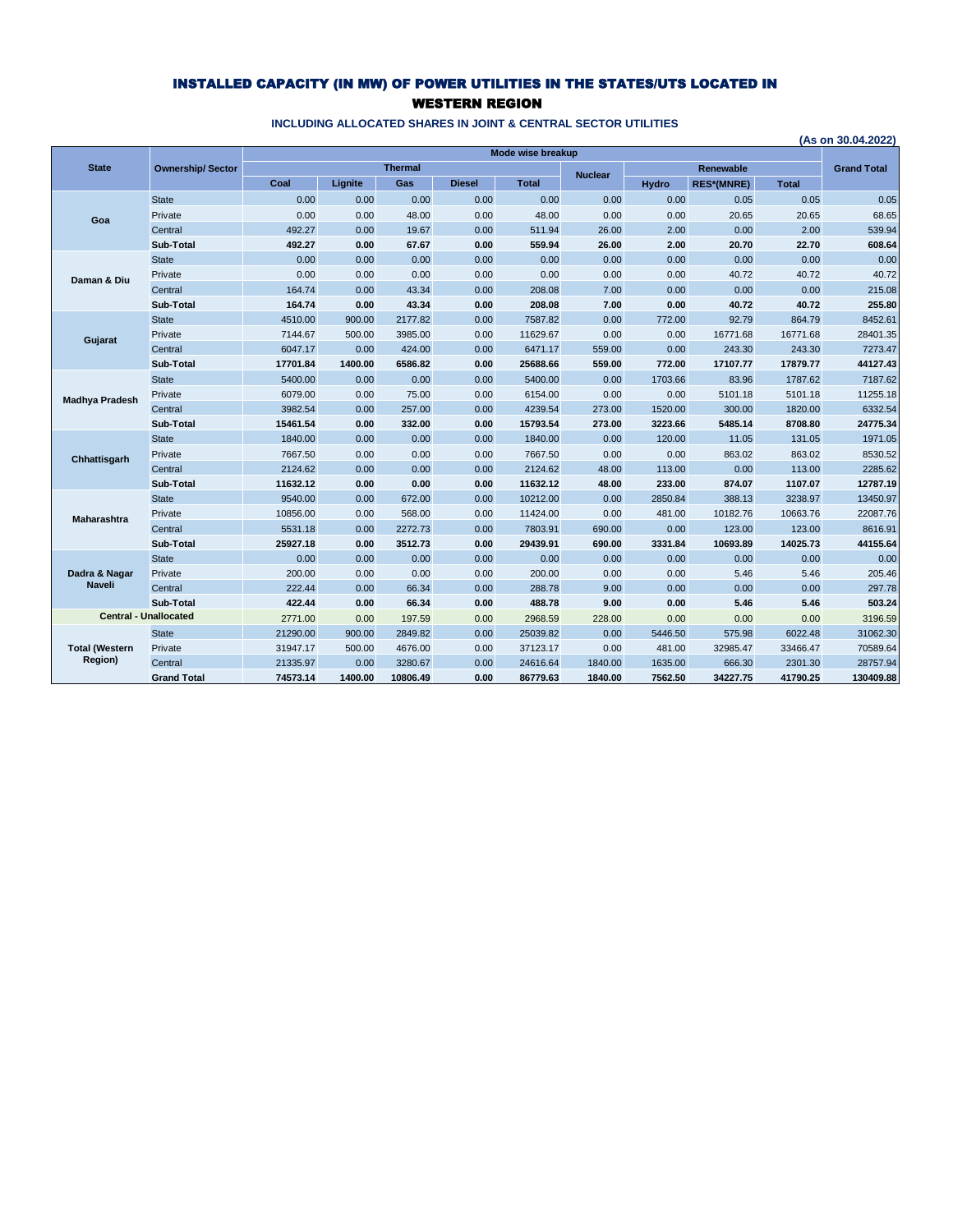## INSTALLED CAPACITY (IN MW) OF POWER UTILITIES IN THE STATES/UTS LOCATED IN WESTERN REGION

|                       |                              |          |         |                |               |                   |                |              |                                       |              | (As on 30.04.2022) |
|-----------------------|------------------------------|----------|---------|----------------|---------------|-------------------|----------------|--------------|---------------------------------------|--------------|--------------------|
| <b>State</b>          |                              |          |         | <b>Thermal</b> |               | Mode wise breakup |                |              |                                       |              |                    |
|                       | <b>Ownership/Sector</b>      | Coal     | Lignite | Gas            | <b>Diesel</b> | <b>Total</b>      | <b>Nuclear</b> | <b>Hydro</b> | <b>Renewable</b><br><b>RES*(MNRE)</b> | <b>Total</b> | <b>Grand Total</b> |
|                       | <b>State</b>                 | 0.00     | 0.00    | 0.00           | 0.00          | 0.00              | 0.00           | 0.00         | 0.05                                  | 0.05         | 0.05               |
|                       | Private                      | 0.00     | 0.00    | 48.00          | 0.00          | 48.00             | 0.00           | 0.00         | 20.65                                 | 20.65        | 68.65              |
| Goa                   | Central                      | 492.27   | 0.00    | 19.67          | 0.00          | 511.94            | 26.00          | 2.00         | 0.00                                  | 2.00         | 539.94             |
|                       | Sub-Total                    | 492.27   | 0.00    | 67.67          | 0.00          | 559.94            | 26.00          | 2.00         | 20.70                                 | 22.70        | 608.64             |
|                       | <b>State</b>                 | 0.00     | 0.00    | 0.00           | 0.00          | 0.00              | 0.00           | 0.00         | 0.00                                  | 0.00         | 0.00               |
|                       | Private                      | 0.00     | 0.00    | 0.00           | 0.00          | 0.00              | 0.00           | 0.00         | 40.72                                 | 40.72        | 40.72              |
| Daman & Diu           | Central                      | 164.74   | 0.00    | 43.34          | 0.00          | 208.08            | 7.00           | 0.00         | 0.00                                  | 0.00         | 215.08             |
|                       | Sub-Total                    | 164.74   | 0.00    | 43.34          | 0.00          | 208.08            | 7.00           | 0.00         | 40.72                                 | 40.72        | 255.80             |
|                       | <b>State</b>                 | 4510.00  | 900.00  | 2177.82        | 0.00          | 7587.82           | 0.00           | 772.00       | 92.79                                 | 864.79       | 8452.61            |
|                       | Private                      | 7144.67  | 500.00  | 3985.00        | 0.00          | 11629.67          | 0.00           | 0.00         | 16771.68                              | 16771.68     | 28401.35           |
| Gujarat               | Central                      | 6047.17  | 0.00    | 424.00         | 0.00          | 6471.17           | 559.00         | 0.00         | 243.30                                | 243.30       | 7273.47            |
|                       | Sub-Total                    | 17701.84 | 1400.00 | 6586.82        | 0.00          | 25688.66          | 559.00         | 772.00       | 17107.77                              | 17879.77     | 44127.43           |
|                       | <b>State</b>                 | 5400.00  | 0.00    | 0.00           | 0.00          | 5400.00           | 0.00           | 1703.66      | 83.96                                 | 1787.62      | 7187.62            |
|                       | Private                      | 6079.00  | 0.00    | 75.00          | 0.00          | 6154.00           | 0.00           | 0.00         | 5101.18                               | 5101.18      | 11255.18           |
| <b>Madhya Pradesh</b> | Central                      | 3982.54  | 0.00    | 257.00         | 0.00          | 4239.54           | 273.00         | 1520.00      | 300.00                                | 1820.00      | 6332.54            |
|                       | Sub-Total                    | 15461.54 | 0.00    | 332.00         | 0.00          | 15793.54          | 273.00         | 3223.66      | 5485.14                               | 8708.80      | 24775.34           |
|                       | <b>State</b>                 | 1840.00  | 0.00    | 0.00           | 0.00          | 1840.00           | 0.00           | 120.00       | 11.05                                 | 131.05       | 1971.05            |
| Chhattisgarh          | Private                      | 7667.50  | 0.00    | 0.00           | 0.00          | 7667.50           | 0.00           | 0.00         | 863.02                                | 863.02       | 8530.52            |
|                       | Central                      | 2124.62  | 0.00    | 0.00           | 0.00          | 2124.62           | 48.00          | 113.00       | 0.00                                  | 113.00       | 2285.62            |
|                       | Sub-Total                    | 11632.12 | 0.00    | 0.00           | 0.00          | 11632.12          | 48.00          | 233.00       | 874.07                                | 1107.07      | 12787.19           |
|                       | <b>State</b>                 | 9540.00  | 0.00    | 672.00         | 0.00          | 10212.00          | 0.00           | 2850.84      | 388.13                                | 3238.97      | 13450.97           |
| Maharashtra           | Private                      | 10856.00 | 0.00    | 568.00         | 0.00          | 11424.00          | 0.00           | 481.00       | 10182.76                              | 10663.76     | 22087.76           |
|                       | Central                      | 5531.18  | 0.00    | 2272.73        | 0.00          | 7803.91           | 690.00         | 0.00         | 123.00                                | 123.00       | 8616.91            |
|                       | Sub-Total                    | 25927.18 | 0.00    | 3512.73        | 0.00          | 29439.91          | 690.00         | 3331.84      | 10693.89                              | 14025.73     | 44155.64           |
|                       | <b>State</b>                 | 0.00     | 0.00    | 0.00           | 0.00          | 0.00              | 0.00           | 0.00         | 0.00                                  | 0.00         | 0.00               |
| Dadra & Nagar         | Private                      | 200.00   | 0.00    | 0.00           | 0.00          | 200.00            | 0.00           | 0.00         | 5.46                                  | 5.46         | 205.46             |
| <b>Naveli</b>         | Central                      | 222.44   | 0.00    | 66.34          | 0.00          | 288.78            | 9.00           | 0.00         | 0.00                                  | 0.00         | 297.78             |
|                       | Sub-Total                    | 422.44   | 0.00    | 66.34          | 0.00          | 488.78            | 9.00           | 0.00         | 5.46                                  | 5.46         | 503.24             |
|                       | <b>Central - Unallocated</b> | 2771.00  | 0.00    | 197.59         | 0.00          | 2968.59           | 228.00         | 0.00         | 0.00                                  | 0.00         | 3196.59            |
|                       | <b>State</b>                 | 21290.00 | 900.00  | 2849.82        | 0.00          | 25039.82          | 0.00           | 5446.50      | 575.98                                | 6022.48      | 31062.30           |
| <b>Total (Western</b> | Private                      | 31947.17 | 500.00  | 4676.00        | 0.00          | 37123.17          | 0.00           | 481.00       | 32985.47                              | 33466.47     | 70589.64           |
| Region)               | Central                      | 21335.97 | 0.00    | 3280.67        | 0.00          | 24616.64          | 1840.00        | 1635.00      | 666.30                                | 2301.30      | 28757.94           |
|                       | <b>Grand Total</b>           | 74573.14 | 1400.00 | 10806.49       | 0.00          | 86779.63          | 1840.00        | 7562.50      | 34227.75                              | 41790.25     | 130409.88          |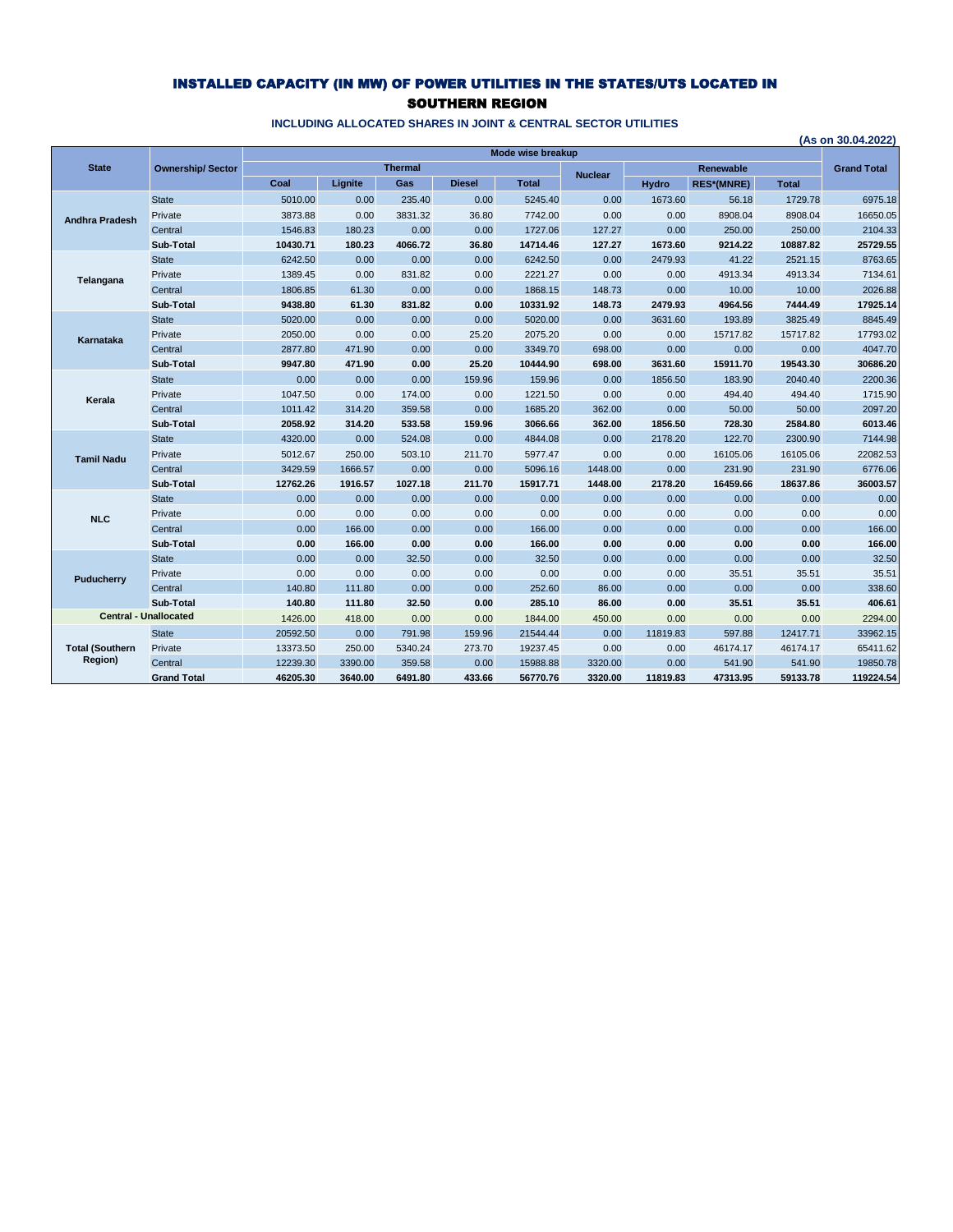## INSTALLED CAPACITY (IN MW) OF POWER UTILITIES IN THE STATES/UTS LOCATED IN SOUTHERN REGION

|                        |                              |          |         |                |               | Mode wise breakup |                |              |                   |              | (As on 30.04.2022) |
|------------------------|------------------------------|----------|---------|----------------|---------------|-------------------|----------------|--------------|-------------------|--------------|--------------------|
| <b>State</b>           | <b>Ownership/Sector</b>      |          |         | <b>Thermal</b> |               |                   |                |              | <b>Renewable</b>  |              | <b>Grand Total</b> |
|                        |                              | Coal     | Lignite | Gas            | <b>Diesel</b> | <b>Total</b>      | <b>Nuclear</b> | <b>Hydro</b> | <b>RES*(MNRE)</b> | <b>Total</b> |                    |
|                        | <b>State</b>                 | 5010.00  | 0.00    | 235.40         | 0.00          | 5245.40           | 0.00           | 1673.60      | 56.18             | 1729.78      | 6975.18            |
| <b>Andhra Pradesh</b>  | Private                      | 3873.88  | 0.00    | 3831.32        | 36.80         | 7742.00           | 0.00           | 0.00         | 8908.04           | 8908.04      | 16650.05           |
|                        | Central                      | 1546.83  | 180.23  | 0.00           | 0.00          | 1727.06           | 127.27         | 0.00         | 250.00            | 250.00       | 2104.33            |
|                        | Sub-Total                    | 10430.71 | 180.23  | 4066.72        | 36.80         | 14714.46          | 127.27         | 1673.60      | 9214.22           | 10887.82     | 25729.55           |
|                        | <b>State</b>                 | 6242.50  | 0.00    | 0.00           | 0.00          | 6242.50           | 0.00           | 2479.93      | 41.22             | 2521.15      | 8763.65            |
| Telangana              | Private                      | 1389.45  | 0.00    | 831.82         | 0.00          | 2221.27           | 0.00           | 0.00         | 4913.34           | 4913.34      | 7134.61            |
|                        | Central                      | 1806.85  | 61.30   | 0.00           | 0.00          | 1868.15           | 148.73         | 0.00         | 10.00             | 10.00        | 2026.88            |
|                        | Sub-Total                    | 9438.80  | 61.30   | 831.82         | 0.00          | 10331.92          | 148.73         | 2479.93      | 4964.56           | 7444.49      | 17925.14           |
|                        | <b>State</b>                 | 5020.00  | 0.00    | 0.00           | 0.00          | 5020.00           | 0.00           | 3631.60      | 193.89            | 3825.49      | 8845.49            |
| Karnataka              | Private                      | 2050.00  | 0.00    | 0.00           | 25.20         | 2075.20           | 0.00           | 0.00         | 15717.82          | 15717.82     | 17793.02           |
|                        | Central                      | 2877.80  | 471.90  | 0.00           | 0.00          | 3349.70           | 698.00         | 0.00         | 0.00              | 0.00         | 4047.70            |
|                        | Sub-Total                    | 9947.80  | 471.90  | 0.00           | 25.20         | 10444.90          | 698.00         | 3631.60      | 15911.70          | 19543.30     | 30686.20           |
|                        | <b>State</b>                 | 0.00     | 0.00    | 0.00           | 159.96        | 159.96            | 0.00           | 1856.50      | 183.90            | 2040.40      | 2200.36            |
| Kerala                 | Private                      | 1047.50  | 0.00    | 174.00         | 0.00          | 1221.50           | 0.00           | 0.00         | 494.40            | 494.40       | 1715.90            |
|                        | Central                      | 1011.42  | 314.20  | 359.58         | 0.00          | 1685.20           | 362.00         | 0.00         | 50.00             | 50.00        | 2097.20            |
|                        | Sub-Total                    | 2058.92  | 314.20  | 533.58         | 159.96        | 3066.66           | 362.00         | 1856.50      | 728.30            | 2584.80      | 6013.46            |
|                        | <b>State</b>                 | 4320.00  | 0.00    | 524.08         | 0.00          | 4844.08           | 0.00           | 2178.20      | 122.70            | 2300.90      | 7144.98            |
| <b>Tamil Nadu</b>      | Private                      | 5012.67  | 250.00  | 503.10         | 211.70        | 5977.47           | 0.00           | 0.00         | 16105.06          | 16105.06     | 22082.53           |
|                        | Central                      | 3429.59  | 1666.57 | 0.00           | 0.00          | 5096.16           | 1448.00        | 0.00         | 231.90            | 231.90       | 6776.06            |
|                        | Sub-Total                    | 12762.26 | 1916.57 | 1027.18        | 211.70        | 15917.71          | 1448.00        | 2178.20      | 16459.66          | 18637.86     | 36003.57           |
|                        | <b>State</b>                 | 0.00     | 0.00    | 0.00           | 0.00          | 0.00              | 0.00           | 0.00         | 0.00              | 0.00         | 0.00               |
| <b>NLC</b>             | Private                      | 0.00     | 0.00    | 0.00           | 0.00          | 0.00              | 0.00           | 0.00         | 0.00              | 0.00         | 0.00               |
|                        | Central                      | 0.00     | 166.00  | 0.00           | 0.00          | 166.00            | 0.00           | 0.00         | 0.00              | 0.00         | 166.00             |
|                        | Sub-Total                    | 0.00     | 166.00  | 0.00           | 0.00          | 166.00            | 0.00           | 0.00         | 0.00              | 0.00         | 166.00             |
|                        | <b>State</b>                 | 0.00     | 0.00    | 32.50          | 0.00          | 32.50             | 0.00           | 0.00         | 0.00              | 0.00         | 32.50              |
| Puducherry             | Private                      | 0.00     | 0.00    | 0.00           | 0.00          | 0.00              | 0.00           | 0.00         | 35.51             | 35.51        | 35.51              |
|                        | Central                      | 140.80   | 111.80  | 0.00           | 0.00          | 252.60            | 86.00          | 0.00         | 0.00              | 0.00         | 338.60             |
|                        | Sub-Total                    | 140.80   | 111.80  | 32.50          | 0.00          | 285.10            | 86.00          | 0.00         | 35.51             | 35.51        | 406.61             |
|                        | <b>Central - Unallocated</b> | 1426.00  | 418.00  | 0.00           | 0.00          | 1844.00           | 450.00         | 0.00         | 0.00              | 0.00         | 2294.00            |
|                        | <b>State</b>                 | 20592.50 | 0.00    | 791.98         | 159.96        | 21544.44          | 0.00           | 11819.83     | 597.88            | 12417.71     | 33962.15           |
| <b>Total (Southern</b> | Private                      | 13373.50 | 250.00  | 5340.24        | 273.70        | 19237.45          | 0.00           | 0.00         | 46174.17          | 46174.17     | 65411.62           |
| Region)                | Central                      | 12239.30 | 3390.00 | 359.58         | 0.00          | 15988.88          | 3320.00        | 0.00         | 541.90            | 541.90       | 19850.78           |
|                        | <b>Grand Total</b>           | 46205.30 | 3640.00 | 6491.80        | 433.66        | 56770.76          | 3320.00        | 11819.83     | 47313.95          | 59133.78     | 119224.54          |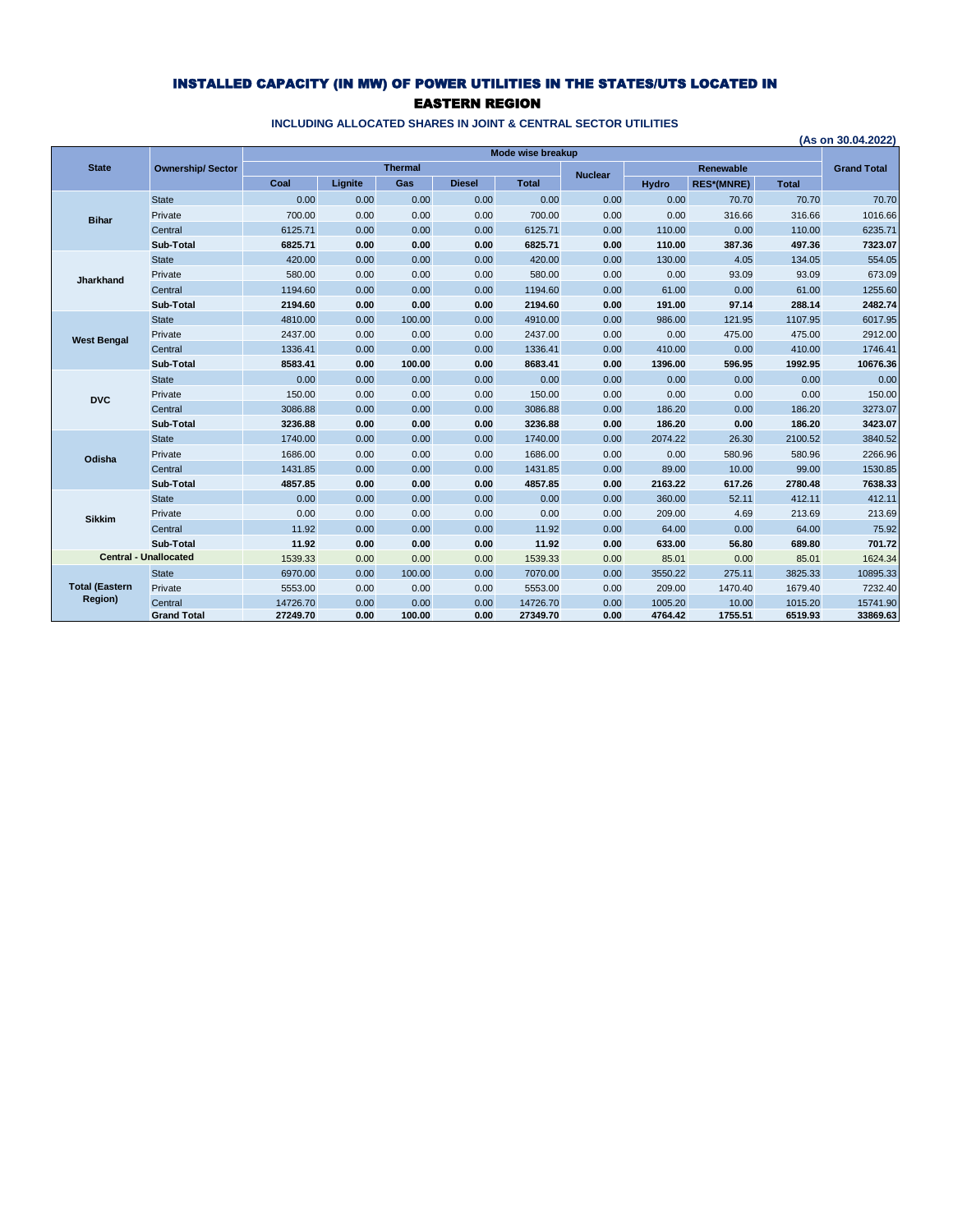## INSTALLED CAPACITY (IN MW) OF POWER UTILITIES IN THE STATES/UTS LOCATED IN EASTERN REGION

|                       |                              |          |         |                |               |                   |                |              |                   |              | (As on 30.04.2022) |
|-----------------------|------------------------------|----------|---------|----------------|---------------|-------------------|----------------|--------------|-------------------|--------------|--------------------|
|                       |                              |          |         |                |               | Mode wise breakup |                |              |                   |              |                    |
| <b>State</b>          | <b>Ownership/Sector</b>      |          |         | <b>Thermal</b> |               |                   | <b>Nuclear</b> |              | Renewable         |              | <b>Grand Total</b> |
|                       |                              | Coal     | Lianite | Gas            | <b>Diesel</b> | <b>Total</b>      |                | <b>Hydro</b> | <b>RES*(MNRE)</b> | <b>Total</b> |                    |
|                       | <b>State</b>                 | 0.00     | 0.00    | 0.00           | 0.00          | 0.00              | 0.00           | 0.00         | 70.70             | 70.70        | 70.70              |
| <b>Bihar</b>          | Private                      | 700.00   | 0.00    | 0.00           | 0.00          | 700.00            | 0.00           | 0.00         | 316.66            | 316.66       | 1016.66            |
|                       | Central                      | 6125.71  | 0.00    | 0.00           | 0.00          | 6125.71           | 0.00           | 110.00       | 0.00              | 110.00       | 6235.71            |
|                       | Sub-Total                    | 6825.71  | 0.00    | 0.00           | 0.00          | 6825.71           | 0.00           | 110.00       | 387.36            | 497.36       | 7323.07            |
|                       | <b>State</b>                 | 420.00   | 0.00    | 0.00           | 0.00          | 420.00            | 0.00           | 130.00       | 4.05              | 134.05       | 554.05             |
| Jharkhand             | Private                      | 580.00   | 0.00    | 0.00           | 0.00          | 580.00            | 0.00           | 0.00         | 93.09             | 93.09        | 673.09             |
|                       | Central                      | 1194.60  | 0.00    | 0.00           | 0.00          | 1194.60           | 0.00           | 61.00        | 0.00              | 61.00        | 1255.60            |
|                       | Sub-Total                    | 2194.60  | 0.00    | 0.00           | 0.00          | 2194.60           | 0.00           | 191.00       | 97.14             | 288.14       | 2482.74            |
| <b>West Bengal</b>    | <b>State</b>                 | 4810.00  | 0.00    | 100.00         | 0.00          | 4910.00           | 0.00           | 986.00       | 121.95            | 1107.95      | 6017.95            |
|                       | Private                      | 2437.00  | 0.00    | 0.00           | 0.00          | 2437.00           | 0.00           | 0.00         | 475.00            | 475.00       | 2912.00            |
|                       | Central                      | 1336.41  | 0.00    | 0.00           | 0.00          | 1336.41           | 0.00           | 410.00       | 0.00              | 410.00       | 1746.41            |
|                       | Sub-Total                    | 8583.41  | 0.00    | 100.00         | 0.00          | 8683.41           | 0.00           | 1396.00      | 596.95            | 1992.95      | 10676.36           |
|                       | <b>State</b>                 | 0.00     | 0.00    | 0.00           | 0.00          | 0.00              | 0.00           | 0.00         | 0.00              | 0.00         | 0.00               |
| <b>DVC</b>            | Private                      | 150.00   | 0.00    | 0.00           | 0.00          | 150.00            | 0.00           | 0.00         | 0.00              | 0.00         | 150.00             |
|                       | Central                      | 3086.88  | 0.00    | 0.00           | 0.00          | 3086.88           | 0.00           | 186.20       | 0.00              | 186.20       | 3273.07            |
|                       | Sub-Total                    | 3236.88  | 0.00    | 0.00           | 0.00          | 3236.88           | 0.00           | 186.20       | 0.00              | 186.20       | 3423.07            |
|                       | <b>State</b>                 | 1740.00  | 0.00    | 0.00           | 0.00          | 1740.00           | 0.00           | 2074.22      | 26.30             | 2100.52      | 3840.52            |
| Odisha                | Private                      | 1686.00  | 0.00    | 0.00           | 0.00          | 1686.00           | 0.00           | 0.00         | 580.96            | 580.96       | 2266.96            |
|                       | Central                      | 1431.85  | 0.00    | 0.00           | 0.00          | 1431.85           | 0.00           | 89.00        | 10.00             | 99.00        | 1530.85            |
|                       | Sub-Total                    | 4857.85  | 0.00    | 0.00           | 0.00          | 4857.85           | 0.00           | 2163.22      | 617.26            | 2780.48      | 7638.33            |
|                       | <b>State</b>                 | 0.00     | 0.00    | 0.00           | 0.00          | 0.00              | 0.00           | 360.00       | 52.11             | 412.11       | 412.11             |
| <b>Sikkim</b>         | Private                      | 0.00     | 0.00    | 0.00           | 0.00          | 0.00              | 0.00           | 209.00       | 4.69              | 213.69       | 213.69             |
|                       | Central                      | 11.92    | 0.00    | 0.00           | 0.00          | 11.92             | 0.00           | 64.00        | 0.00              | 64.00        | 75.92              |
|                       | Sub-Total                    | 11.92    | 0.00    | 0.00           | 0.00          | 11.92             | 0.00           | 633.00       | 56.80             | 689.80       | 701.72             |
|                       | <b>Central - Unallocated</b> | 1539.33  | 0.00    | 0.00           | 0.00          | 1539.33           | 0.00           | 85.01        | 0.00              | 85.01        | 1624.34            |
|                       | <b>State</b>                 | 6970.00  | 0.00    | 100.00         | 0.00          | 7070.00           | 0.00           | 3550.22      | 275.11            | 3825.33      | 10895.33           |
| <b>Total (Eastern</b> | Private                      | 5553.00  | 0.00    | 0.00           | 0.00          | 5553.00           | 0.00           | 209.00       | 1470.40           | 1679.40      | 7232.40            |
| <b>Region)</b>        | Central                      | 14726.70 | 0.00    | 0.00           | 0.00          | 14726.70          | 0.00           | 1005.20      | 10.00             | 1015.20      | 15741.90           |
|                       | <b>Grand Total</b>           | 27249.70 | 0.00    | 100.00         | 0.00          | 27349.70          | 0.00           | 4764.42      | 1755.51           | 6519.93      | 33869.63           |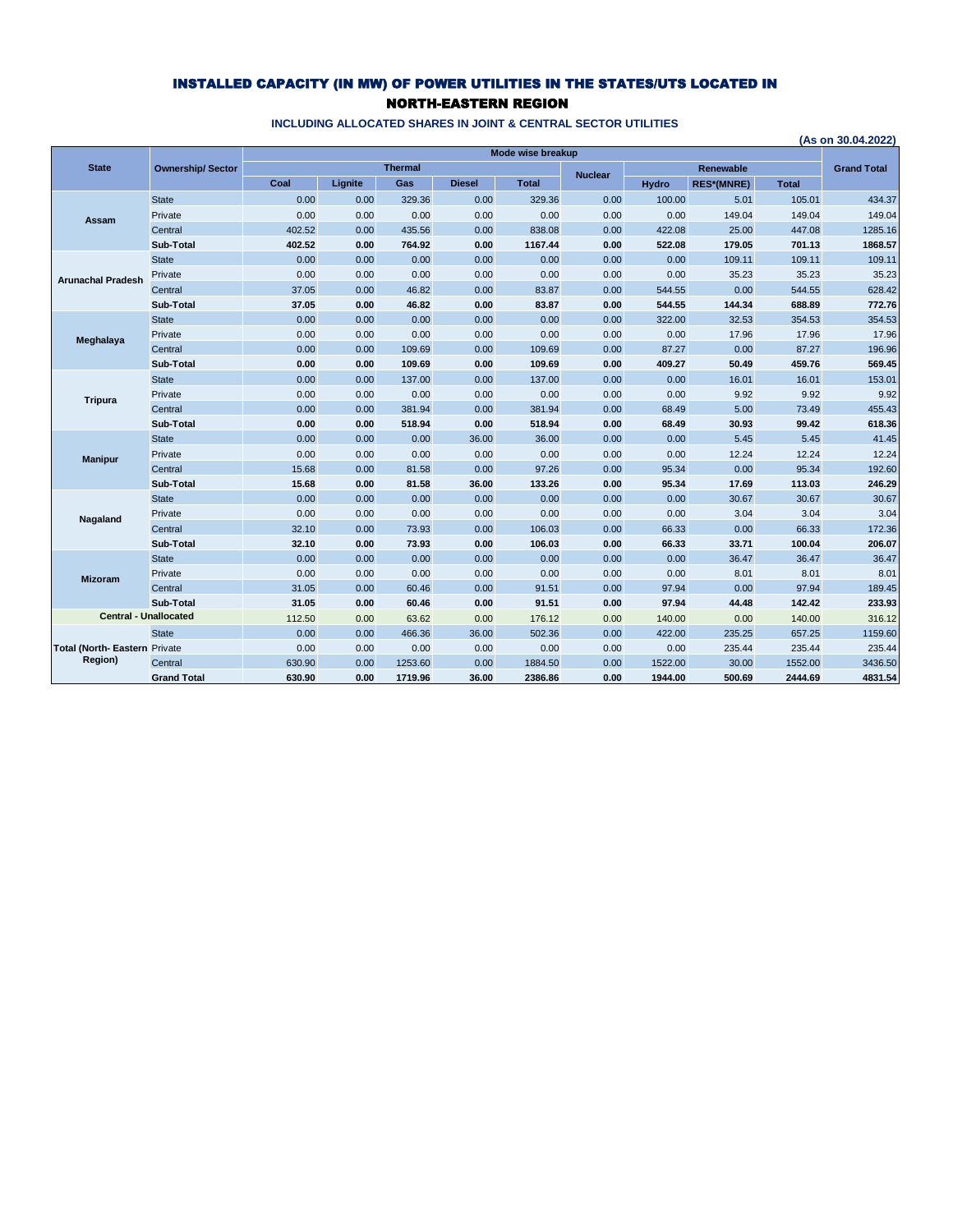### INSTALLED CAPACITY (IN MW) OF POWER UTILITIES IN THE STATES/UTS LOCATED IN NORTH-EASTERN REGION

|                               |                         |        |         |                |               | Mode wise breakup |                |              |                   |              | (As on 30.04.2022) |
|-------------------------------|-------------------------|--------|---------|----------------|---------------|-------------------|----------------|--------------|-------------------|--------------|--------------------|
| <b>State</b>                  | <b>Ownership/Sector</b> |        |         | <b>Thermal</b> |               |                   |                |              | <b>Renewable</b>  |              | <b>Grand Total</b> |
|                               |                         | Coal   | Lignite | Gas            | <b>Diesel</b> | <b>Total</b>      | <b>Nuclear</b> | <b>Hydro</b> | <b>RES*(MNRE)</b> | <b>Total</b> |                    |
|                               | <b>State</b>            | 0.00   | 0.00    | 329.36         | 0.00          | 329.36            | 0.00           | 100.00       | 5.01              | 105.01       | 434.37             |
|                               | Private                 | 0.00   | 0.00    | 0.00           | 0.00          | 0.00              | 0.00           | 0.00         | 149.04            | 149.04       | 149.04             |
| Assam                         | Central                 | 402.52 | 0.00    | 435.56         | 0.00          | 838.08            | 0.00           | 422.08       | 25.00             | 447.08       | 1285.16            |
|                               | Sub-Total               | 402.52 | 0.00    | 764.92         | 0.00          | 1167.44           | 0.00           | 522.08       | 179.05            | 701.13       | 1868.57            |
|                               | <b>State</b>            | 0.00   | 0.00    | 0.00           | 0.00          | 0.00              | 0.00           | 0.00         | 109.11            | 109.11       | 109.11             |
| <b>Arunachal Pradesh</b>      | Private                 | 0.00   | 0.00    | 0.00           | 0.00          | 0.00              | 0.00           | 0.00         | 35.23             | 35.23        | 35.23              |
|                               | Central                 | 37.05  | 0.00    | 46.82          | 0.00          | 83.87             | 0.00           | 544.55       | 0.00              | 544.55       | 628.42             |
|                               | Sub-Total               | 37.05  | 0.00    | 46.82          | 0.00          | 83.87             | 0.00           | 544.55       | 144.34            | 688.89       | 772.76             |
|                               | <b>State</b>            | 0.00   | 0.00    | 0.00           | 0.00          | 0.00              | 0.00           | 322.00       | 32.53             | 354.53       | 354.53             |
| Meghalaya                     | Private                 | 0.00   | 0.00    | 0.00           | 0.00          | 0.00              | 0.00           | 0.00         | 17.96             | 17.96        | 17.96              |
|                               | Central                 | 0.00   | 0.00    | 109.69         | 0.00          | 109.69            | 0.00           | 87.27        | 0.00              | 87.27        | 196.96             |
|                               | Sub-Total               | 0.00   | 0.00    | 109.69         | 0.00          | 109.69            | 0.00           | 409.27       | 50.49             | 459.76       | 569.45             |
|                               | <b>State</b>            | 0.00   | 0.00    | 137.00         | 0.00          | 137.00            | 0.00           | 0.00         | 16.01             | 16.01        | 153.01             |
| <b>Tripura</b>                | Private                 | 0.00   | 0.00    | 0.00           | 0.00          | 0.00              | 0.00           | 0.00         | 9.92              | 9.92         | 9.92               |
|                               | Central                 | 0.00   | 0.00    | 381.94         | 0.00          | 381.94            | 0.00           | 68.49        | 5.00              | 73.49        | 455.43             |
|                               | Sub-Total               | 0.00   | 0.00    | 518.94         | 0.00          | 518.94            | 0.00           | 68.49        | 30.93             | 99.42        | 618.36             |
|                               | <b>State</b>            | 0.00   | 0.00    | 0.00           | 36.00         | 36.00             | 0.00           | 0.00         | 5.45              | 5.45         | 41.45              |
| <b>Manipur</b>                | Private                 | 0.00   | 0.00    | 0.00           | 0.00          | 0.00              | 0.00           | 0.00         | 12.24             | 12.24        | 12.24              |
|                               | Central                 | 15.68  | 0.00    | 81.58          | 0.00          | 97.26             | 0.00           | 95.34        | 0.00              | 95.34        | 192.60             |
|                               | Sub-Total               | 15.68  | 0.00    | 81.58          | 36.00         | 133.26            | 0.00           | 95.34        | 17.69             | 113.03       | 246.29             |
|                               | <b>State</b>            | 0.00   | 0.00    | 0.00           | 0.00          | 0.00              | 0.00           | 0.00         | 30.67             | 30.67        | 30.67              |
| Nagaland                      | Private                 | 0.00   | 0.00    | 0.00           | 0.00          | 0.00              | 0.00           | 0.00         | 3.04              | 3.04         | 3.04               |
|                               | Central                 | 32.10  | 0.00    | 73.93          | 0.00          | 106.03            | 0.00           | 66.33        | 0.00              | 66.33        | 172.36             |
|                               | Sub-Total               | 32.10  | 0.00    | 73.93          | 0.00          | 106.03            | 0.00           | 66.33        | 33.71             | 100.04       | 206.07             |
|                               | <b>State</b>            | 0.00   | 0.00    | 0.00           | 0.00          | 0.00              | 0.00           | 0.00         | 36.47             | 36.47        | 36.47              |
| <b>Mizoram</b>                | Private                 | 0.00   | 0.00    | 0.00           | 0.00          | 0.00              | 0.00           | 0.00         | 8.01              | 8.01         | 8.01               |
|                               | Central                 | 31.05  | 0.00    | 60.46          | 0.00          | 91.51             | 0.00           | 97.94        | 0.00              | 97.94        | 189.45             |
|                               | Sub-Total               | 31.05  | 0.00    | 60.46          | 0.00          | 91.51             | 0.00           | 97.94        | 44.48             | 142.42       | 233.93             |
| <b>Central - Unallocated</b>  |                         | 112.50 | 0.00    | 63.62          | 0.00          | 176.12            | 0.00           | 140.00       | 0.00              | 140.00       | 316.12             |
|                               | <b>State</b>            | 0.00   | 0.00    | 466.36         | 36.00         | 502.36            | 0.00           | 422.00       | 235.25            | 657.25       | 1159.60            |
| Total (North- Eastern Private |                         | 0.00   | 0.00    | 0.00           | 0.00          | 0.00              | 0.00           | 0.00         | 235.44            | 235.44       | 235.44             |
| Region)                       | Central                 | 630.90 | 0.00    | 1253.60        | 0.00          | 1884.50           | 0.00           | 1522.00      | 30.00             | 1552.00      | 3436.50            |
|                               | <b>Grand Total</b>      | 630.90 | 0.00    | 1719.96        | 36.00         | 2386.86           | 0.00           | 1944.00      | 500.69            | 2444.69      | 4831.54            |